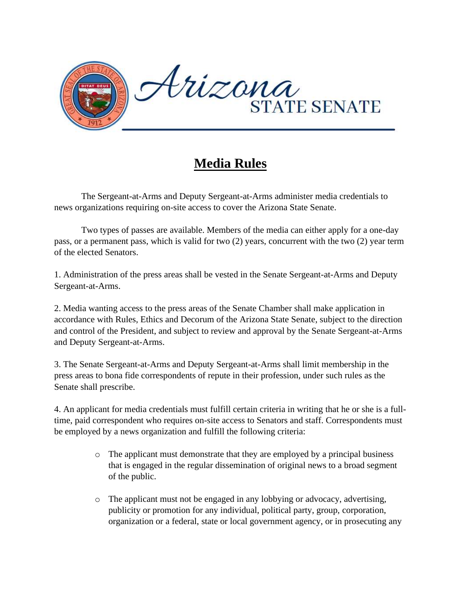

## **Media Rules**

The Sergeant-at-Arms and Deputy Sergeant-at-Arms administer media credentials to news organizations requiring on-site access to cover the Arizona State Senate.

Two types of passes are available. Members of the media can either apply for a one-day pass, or a permanent pass, which is valid for two (2) years, concurrent with the two (2) year term of the elected Senators.

1. Administration of the press areas shall be vested in the Senate Sergeant-at-Arms and Deputy Sergeant-at-Arms.

2. Media wanting access to the press areas of the Senate Chamber shall make application in accordance with Rules, Ethics and Decorum of the Arizona State Senate, subject to the direction and control of the President, and subject to review and approval by the Senate Sergeant-at-Arms and Deputy Sergeant-at-Arms.

3. The Senate Sergeant-at-Arms and Deputy Sergeant-at-Arms shall limit membership in the press areas to bona fide correspondents of repute in their profession, under such rules as the Senate shall prescribe.

4. An applicant for media credentials must fulfill certain criteria in writing that he or she is a fulltime, paid correspondent who requires on-site access to Senators and staff. Correspondents must be employed by a news organization and fulfill the following criteria:

- o The applicant must demonstrate that they are employed by a principal business that is engaged in the regular dissemination of original news to a broad segment of the public.
- o The applicant must not be engaged in any lobbying or advocacy, advertising, publicity or promotion for any individual, political party, group, corporation, organization or a federal, state or local government agency, or in prosecuting any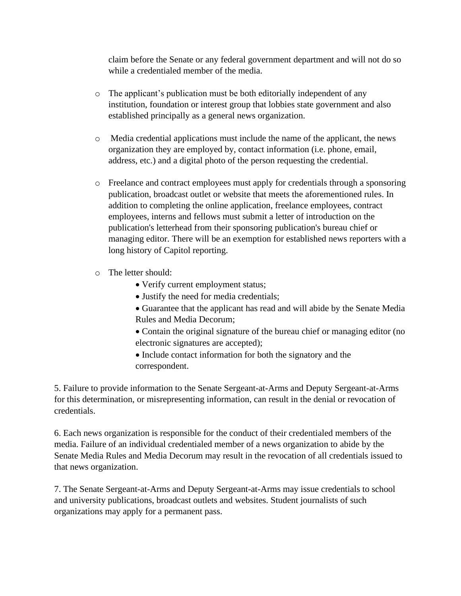claim before the Senate or any federal government department and will not do so while a credentialed member of the media.

- o The applicant's publication must be both editorially independent of any institution, foundation or interest group that lobbies state government and also established principally as a general news organization.
- o Media credential applications must include the name of the applicant, the news organization they are employed by, contact information (i.e. phone, email, address, etc.) and a digital photo of the person requesting the credential.
- o Freelance and contract employees must apply for credentials through a sponsoring publication, broadcast outlet or website that meets the aforementioned rules. In addition to completing the online application, freelance employees, contract employees, interns and fellows must submit a letter of introduction on the publication's letterhead from their sponsoring publication's bureau chief or managing editor. There will be an exemption for established news reporters with a long history of Capitol reporting.
- o The letter should:
	- Verify current employment status;
	- Justify the need for media credentials;
	- Guarantee that the applicant has read and will abide by the Senate Media Rules and Media Decorum;
	- Contain the original signature of the bureau chief or managing editor (no electronic signatures are accepted);
	- Include contact information for both the signatory and the correspondent.

5. Failure to provide information to the Senate Sergeant-at-Arms and Deputy Sergeant-at-Arms for this determination, or misrepresenting information, can result in the denial or revocation of credentials.

6. Each news organization is responsible for the conduct of their credentialed members of the media. Failure of an individual credentialed member of a news organization to abide by the Senate Media Rules and Media Decorum may result in the revocation of all credentials issued to that news organization.

7. The Senate Sergeant-at-Arms and Deputy Sergeant-at-Arms may issue credentials to school and university publications, broadcast outlets and websites. Student journalists of such organizations may apply for a permanent pass.